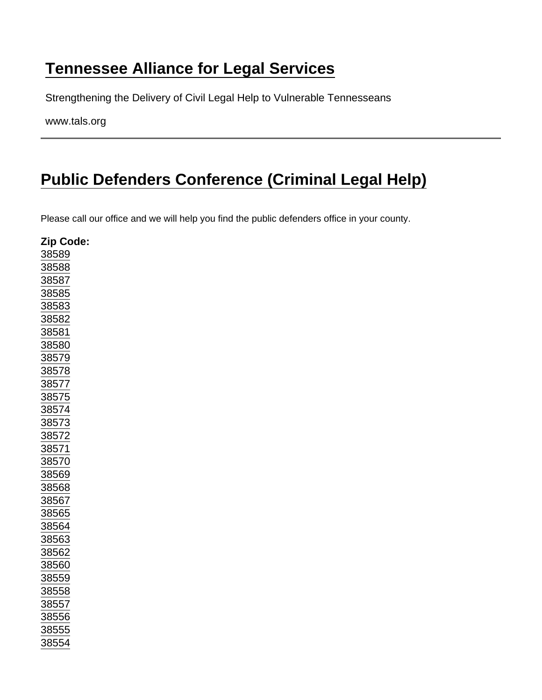## [Tennessee Alliance for Legal Services](https://www.tals.org/)

Strengthening the Delivery of Civil Legal Help to Vulnerable Tennesseans

www.tals.org

## [Public Defenders Conference \(Criminal Legal Help\)](https://www.tals.org/node/383/public-defenders-conference-criminal-legal-help)

Please call our office and we will help you find the public defenders office in your county.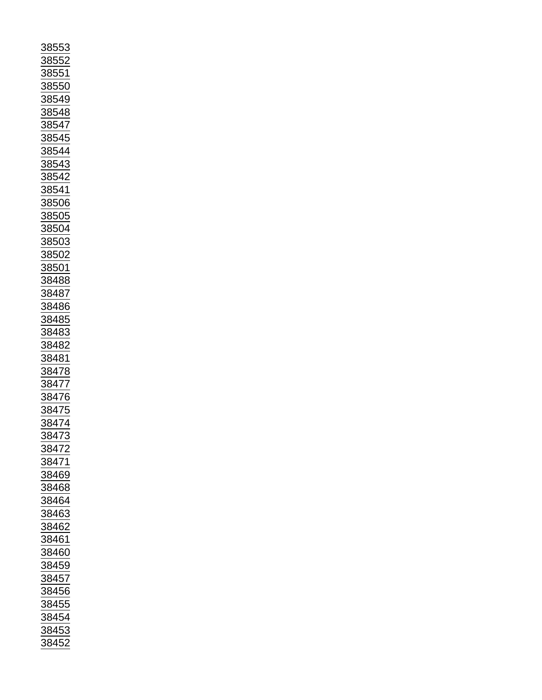| <u>88553</u>                                                        |
|---------------------------------------------------------------------|
|                                                                     |
| <u>8855</u>                                                         |
|                                                                     |
| <u>88551</u>                                                        |
| $\frac{1}{88550}$                                                   |
|                                                                     |
|                                                                     |
|                                                                     |
|                                                                     |
|                                                                     |
| <u>------</u><br>38549<br>38548                                     |
|                                                                     |
| $\frac{885}{5}$                                                     |
|                                                                     |
| <u>3854</u>                                                         |
| $\frac{1}{38544}$<br>$\frac{38543}{38542}$<br>$\frac{38541}{38541}$ |
|                                                                     |
|                                                                     |
|                                                                     |
|                                                                     |
|                                                                     |
|                                                                     |
|                                                                     |
|                                                                     |
|                                                                     |
|                                                                     |
| 38541<br>38506<br>38505<br>38505                                    |
|                                                                     |
| 38504                                                               |
|                                                                     |
| 38503                                                               |
|                                                                     |
|                                                                     |
|                                                                     |
|                                                                     |
| $\frac{38502}{38501}$                                               |
| 38488                                                               |
|                                                                     |
|                                                                     |
|                                                                     |
|                                                                     |
|                                                                     |
|                                                                     |
| $\frac{38487}{38486}$ $\frac{38485}{38485}$                         |
|                                                                     |
|                                                                     |
|                                                                     |
| $\frac{1}{38483}$                                                   |
|                                                                     |
| 38482                                                               |
|                                                                     |
| <u>384</u><br><u>181</u>                                            |
|                                                                     |
|                                                                     |
|                                                                     |
|                                                                     |
|                                                                     |
|                                                                     |
|                                                                     |
|                                                                     |
| 38478<br>38477<br>38476<br>38475                                    |
|                                                                     |
| $\frac{1}{38474}$                                                   |
| 3                                                                   |
| $\frac{1}{8847}$                                                    |
| <u>847</u>                                                          |
|                                                                     |
|                                                                     |
|                                                                     |
|                                                                     |
| $\frac{1}{\frac{38471}{38469}}$                                     |
| 38468                                                               |
|                                                                     |
|                                                                     |
| 38464                                                               |
|                                                                     |
| <u>38463</u>                                                        |
|                                                                     |
| $\frac{1}{38462}$                                                   |
| 38461                                                               |
|                                                                     |
|                                                                     |
| $\frac{1}{38460}$                                                   |
|                                                                     |
| <u>38459</u>                                                        |
|                                                                     |
| 38457                                                               |
|                                                                     |
| 38456                                                               |
|                                                                     |
| 38455                                                               |
|                                                                     |
|                                                                     |
|                                                                     |
| 38454<br>38453                                                      |
| 38452<br>)                                                          |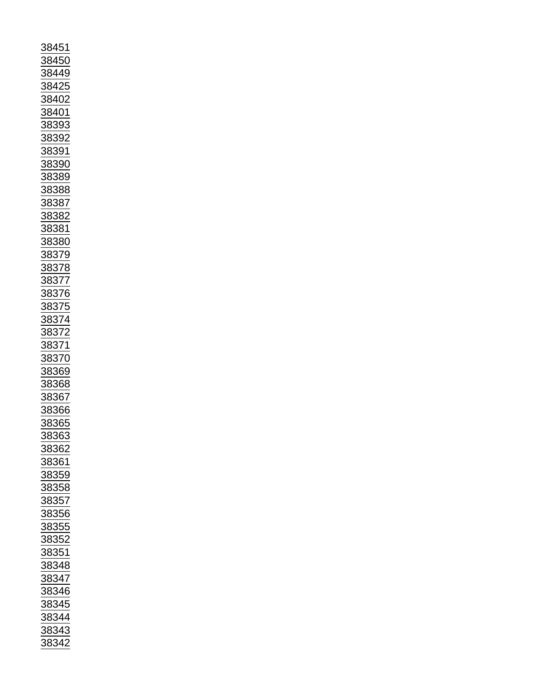| 38451                                       |
|---------------------------------------------|
|                                             |
| 88450                                       |
|                                             |
| 38449                                       |
| $\frac{1}{38425}$                           |
|                                             |
|                                             |
| 38402                                       |
|                                             |
| 38401                                       |
|                                             |
| 8839:                                       |
|                                             |
|                                             |
|                                             |
| 38392<br>38391                              |
|                                             |
| 38390                                       |
|                                             |
| <u>38389</u>                                |
|                                             |
| 38388                                       |
|                                             |
| 38387                                       |
|                                             |
| 38382                                       |
|                                             |
| 38 <u>381</u>                               |
|                                             |
| 38380                                       |
|                                             |
|                                             |
|                                             |
| $\frac{38379}{38378}$ $\frac{38378}{38377}$ |
|                                             |
|                                             |
|                                             |
| $\frac{1}{38376}$<br>38375                  |
|                                             |
|                                             |
|                                             |
|                                             |
|                                             |
|                                             |
|                                             |
|                                             |
|                                             |
|                                             |
| $\frac{12}{38374}$ $\frac{38372}{38371}$    |
|                                             |
| 38370                                       |
|                                             |
|                                             |
|                                             |
| $\frac{38369}{38368}$                       |
| 38367                                       |
|                                             |
|                                             |
| $\frac{38366}{2}$                           |
| 38365                                       |
|                                             |
| 38363                                       |
|                                             |
| 38362                                       |
|                                             |
| 38361                                       |
|                                             |
| <u>38359</u>                                |
|                                             |
| 38358                                       |
|                                             |
|                                             |
|                                             |
| 38357<br>38356                              |
|                                             |
| 38355                                       |
|                                             |
| 38352                                       |
|                                             |
| 38351                                       |
|                                             |
| 38348                                       |
|                                             |
|                                             |
|                                             |
| 38347<br>38347<br>38346                     |
|                                             |
| 38345                                       |
|                                             |
|                                             |
|                                             |
| 38344<br>38343<br>38342                     |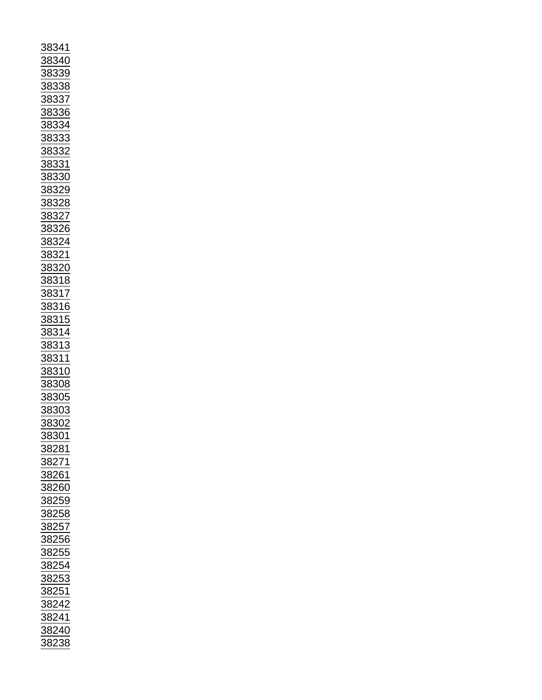| 8341                                                         |
|--------------------------------------------------------------|
|                                                              |
| 383<br>$\overline{10}$<br>},                                 |
|                                                              |
| $\frac{3}{2}$<br><u>883</u>                                  |
|                                                              |
| 88.<br>88<br>}<br>.                                          |
|                                                              |
| 88,<br>$\ddot{\phantom{0}}$                                  |
|                                                              |
| $\frac{3}{2}$<br>$\frac{38}{5}$                              |
|                                                              |
| $\frac{38}{5}$<br>$\frac{3}{2}$<br>}.                        |
|                                                              |
| $\frac{1}{88}$<br>$\frac{3}{2}$                              |
|                                                              |
| $\overline{\mathbf{S}}$<br>$\frac{383}{2}$<br>$\frac{32}{2}$ |
|                                                              |
| 88.<br>$\frac{3}{2}$<br>$\overline{\mathbf{S}}$              |
|                                                              |
| $\frac{83}{5}$<br>$\mathbf{S}$<br>80                         |
|                                                              |
| <u>.9</u><br><u>883</u>                                      |
|                                                              |
| 383<br>$\overline{8}$<br>$\frac{3}{2}$                       |
|                                                              |
| 383<br>$\frac{3}{2}$                                         |
|                                                              |
| $\frac{383}{2}$<br>$\frac{3}{2}$                             |
|                                                              |
| <u>883</u>                                                   |
|                                                              |
|                                                              |
|                                                              |
| $\frac{1}{\frac{1}{38320}}$                                  |
|                                                              |
| <u>38318</u>                                                 |
|                                                              |
| $\overline{7}$<br><u>8831</u>                                |
|                                                              |
| 316<br>88                                                    |
|                                                              |
| $\frac{31}{}$<br><u>883</u>                                  |
|                                                              |
| $\frac{314}{2}$<br>$\frac{8}{3}$                             |
|                                                              |
| $\frac{38}{3}$<br>$\frac{31}{2}$                             |
|                                                              |
| <u>311</u><br><u>883</u>                                     |
|                                                              |
| $\frac{383}{ }$<br>$\frac{10}{25}$                           |
|                                                              |
|                                                              |
|                                                              |
|                                                              |
|                                                              |
| $\frac{1}{38308}$<br>$\frac{38305}{100}$                     |
| 3                                                            |
| <u>88303</u>                                                 |
| 88302                                                        |
|                                                              |
| 38301                                                        |
|                                                              |
| 88281                                                        |
|                                                              |
|                                                              |
|                                                              |
| 38271<br>38261                                               |
|                                                              |
| 38260                                                        |
|                                                              |
| 38259                                                        |
| 38258                                                        |
|                                                              |
| 38257                                                        |
|                                                              |
| 38256                                                        |
|                                                              |
| 38255                                                        |
|                                                              |
| 38254                                                        |
|                                                              |
|                                                              |
| $\frac{38253}{22251}$                                        |
| 38251                                                        |
|                                                              |
| 38242                                                        |
|                                                              |
| $\frac{1}{38241}$                                            |
|                                                              |
| 38240                                                        |
| 38238                                                        |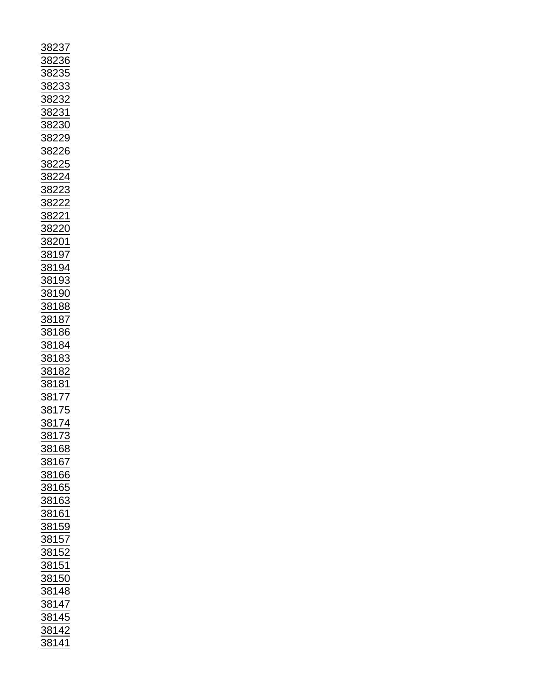| $\frac{38237}{38236} \underline{38233} \underline{38233} \underline{38233} \underline{38233} \underline{38233} \underline{38233} \underline{382329} \underline{382226} \underline{382226} \underline{382222} \underline{382222} \underline{382221} \underline{382221} \underline{382221} \underline{382221} \underline{382221} \underline{382221} \underline{382221} \underline{382221} \underline{382221} \underline{382221} \$ |
|----------------------------------------------------------------------------------------------------------------------------------------------------------------------------------------------------------------------------------------------------------------------------------------------------------------------------------------------------------------------------------------------------------------------------------|
| <u>38168</u>                                                                                                                                                                                                                                                                                                                                                                                                                     |
|                                                                                                                                                                                                                                                                                                                                                                                                                                  |
| <u>38167</u>                                                                                                                                                                                                                                                                                                                                                                                                                     |
|                                                                                                                                                                                                                                                                                                                                                                                                                                  |
| 38166                                                                                                                                                                                                                                                                                                                                                                                                                            |
|                                                                                                                                                                                                                                                                                                                                                                                                                                  |
| 38165                                                                                                                                                                                                                                                                                                                                                                                                                            |
|                                                                                                                                                                                                                                                                                                                                                                                                                                  |
|                                                                                                                                                                                                                                                                                                                                                                                                                                  |
|                                                                                                                                                                                                                                                                                                                                                                                                                                  |
|                                                                                                                                                                                                                                                                                                                                                                                                                                  |
|                                                                                                                                                                                                                                                                                                                                                                                                                                  |
|                                                                                                                                                                                                                                                                                                                                                                                                                                  |
|                                                                                                                                                                                                                                                                                                                                                                                                                                  |
| $\frac{\frac{38163}{38163}}{\frac{38161}{38159}}$                                                                                                                                                                                                                                                                                                                                                                                |
|                                                                                                                                                                                                                                                                                                                                                                                                                                  |
|                                                                                                                                                                                                                                                                                                                                                                                                                                  |
|                                                                                                                                                                                                                                                                                                                                                                                                                                  |
|                                                                                                                                                                                                                                                                                                                                                                                                                                  |
| $\frac{\frac{38152}{38152}}{\frac{38151}{38150}}$                                                                                                                                                                                                                                                                                                                                                                                |
|                                                                                                                                                                                                                                                                                                                                                                                                                                  |
|                                                                                                                                                                                                                                                                                                                                                                                                                                  |
|                                                                                                                                                                                                                                                                                                                                                                                                                                  |
|                                                                                                                                                                                                                                                                                                                                                                                                                                  |
|                                                                                                                                                                                                                                                                                                                                                                                                                                  |
|                                                                                                                                                                                                                                                                                                                                                                                                                                  |
|                                                                                                                                                                                                                                                                                                                                                                                                                                  |
| $\frac{38130}{38148} \overline{38147} \overline{38147} \overline{38142} \overline{38142} \overline{38142}$                                                                                                                                                                                                                                                                                                                       |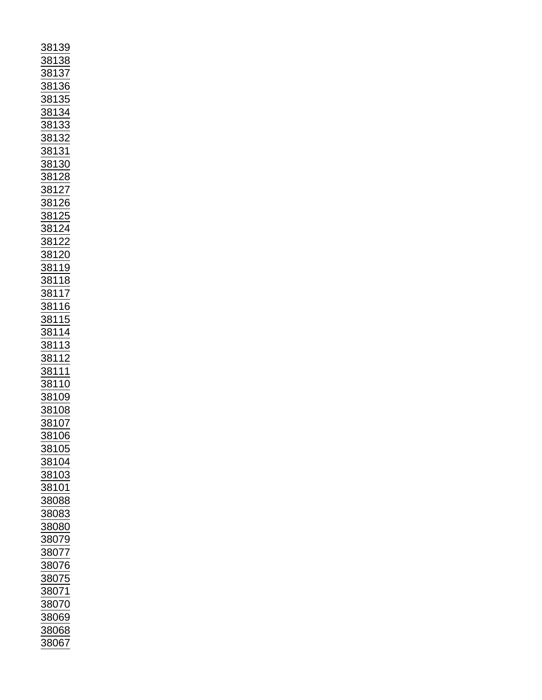| <u>38139</u><br>38138 |                                                                                                                                                                                                                                                                                                                                                                                                                                          |
|-----------------------|------------------------------------------------------------------------------------------------------------------------------------------------------------------------------------------------------------------------------------------------------------------------------------------------------------------------------------------------------------------------------------------------------------------------------------------|
|                       |                                                                                                                                                                                                                                                                                                                                                                                                                                          |
|                       |                                                                                                                                                                                                                                                                                                                                                                                                                                          |
|                       |                                                                                                                                                                                                                                                                                                                                                                                                                                          |
|                       |                                                                                                                                                                                                                                                                                                                                                                                                                                          |
|                       |                                                                                                                                                                                                                                                                                                                                                                                                                                          |
|                       |                                                                                                                                                                                                                                                                                                                                                                                                                                          |
|                       |                                                                                                                                                                                                                                                                                                                                                                                                                                          |
|                       |                                                                                                                                                                                                                                                                                                                                                                                                                                          |
|                       |                                                                                                                                                                                                                                                                                                                                                                                                                                          |
|                       |                                                                                                                                                                                                                                                                                                                                                                                                                                          |
|                       |                                                                                                                                                                                                                                                                                                                                                                                                                                          |
|                       |                                                                                                                                                                                                                                                                                                                                                                                                                                          |
|                       |                                                                                                                                                                                                                                                                                                                                                                                                                                          |
|                       |                                                                                                                                                                                                                                                                                                                                                                                                                                          |
|                       |                                                                                                                                                                                                                                                                                                                                                                                                                                          |
|                       |                                                                                                                                                                                                                                                                                                                                                                                                                                          |
|                       |                                                                                                                                                                                                                                                                                                                                                                                                                                          |
|                       |                                                                                                                                                                                                                                                                                                                                                                                                                                          |
|                       |                                                                                                                                                                                                                                                                                                                                                                                                                                          |
|                       |                                                                                                                                                                                                                                                                                                                                                                                                                                          |
|                       |                                                                                                                                                                                                                                                                                                                                                                                                                                          |
|                       |                                                                                                                                                                                                                                                                                                                                                                                                                                          |
|                       |                                                                                                                                                                                                                                                                                                                                                                                                                                          |
|                       |                                                                                                                                                                                                                                                                                                                                                                                                                                          |
|                       |                                                                                                                                                                                                                                                                                                                                                                                                                                          |
|                       |                                                                                                                                                                                                                                                                                                                                                                                                                                          |
|                       |                                                                                                                                                                                                                                                                                                                                                                                                                                          |
|                       |                                                                                                                                                                                                                                                                                                                                                                                                                                          |
|                       |                                                                                                                                                                                                                                                                                                                                                                                                                                          |
|                       |                                                                                                                                                                                                                                                                                                                                                                                                                                          |
|                       |                                                                                                                                                                                                                                                                                                                                                                                                                                          |
|                       |                                                                                                                                                                                                                                                                                                                                                                                                                                          |
|                       |                                                                                                                                                                                                                                                                                                                                                                                                                                          |
|                       |                                                                                                                                                                                                                                                                                                                                                                                                                                          |
|                       |                                                                                                                                                                                                                                                                                                                                                                                                                                          |
|                       |                                                                                                                                                                                                                                                                                                                                                                                                                                          |
|                       |                                                                                                                                                                                                                                                                                                                                                                                                                                          |
|                       |                                                                                                                                                                                                                                                                                                                                                                                                                                          |
|                       |                                                                                                                                                                                                                                                                                                                                                                                                                                          |
|                       |                                                                                                                                                                                                                                                                                                                                                                                                                                          |
|                       | $\frac{38137}{38136} \underline{38134} \underline{38133} \underline{38133} \underline{38133} \underline{38133} \underline{38133} \underline{38133} \underline{381328} \underline{38128} \underline{381226} \underline{381226} \underline{381226} \underline{381226} \underline{381220} \underline{381220} \underline{381220} \underline{381148} \underline{38114} \underline{381116} \underline{381114} \underline{381114} \underline{3$ |
| 38105                 |                                                                                                                                                                                                                                                                                                                                                                                                                                          |
| <u>88104</u>          |                                                                                                                                                                                                                                                                                                                                                                                                                                          |
| 38103                 |                                                                                                                                                                                                                                                                                                                                                                                                                                          |
|                       |                                                                                                                                                                                                                                                                                                                                                                                                                                          |
| 38101                 |                                                                                                                                                                                                                                                                                                                                                                                                                                          |
| 38088                 |                                                                                                                                                                                                                                                                                                                                                                                                                                          |
| 38083                 |                                                                                                                                                                                                                                                                                                                                                                                                                                          |
|                       |                                                                                                                                                                                                                                                                                                                                                                                                                                          |
| 38080                 |                                                                                                                                                                                                                                                                                                                                                                                                                                          |
| <u>38079</u>          |                                                                                                                                                                                                                                                                                                                                                                                                                                          |
| 38077                 |                                                                                                                                                                                                                                                                                                                                                                                                                                          |
|                       |                                                                                                                                                                                                                                                                                                                                                                                                                                          |
| 38076                 |                                                                                                                                                                                                                                                                                                                                                                                                                                          |
| $\frac{1}{88075}$     |                                                                                                                                                                                                                                                                                                                                                                                                                                          |
| <u>38071</u>          |                                                                                                                                                                                                                                                                                                                                                                                                                                          |
|                       |                                                                                                                                                                                                                                                                                                                                                                                                                                          |
| 38070                 |                                                                                                                                                                                                                                                                                                                                                                                                                                          |
| 38069                 |                                                                                                                                                                                                                                                                                                                                                                                                                                          |
| 38068<br>38067        |                                                                                                                                                                                                                                                                                                                                                                                                                                          |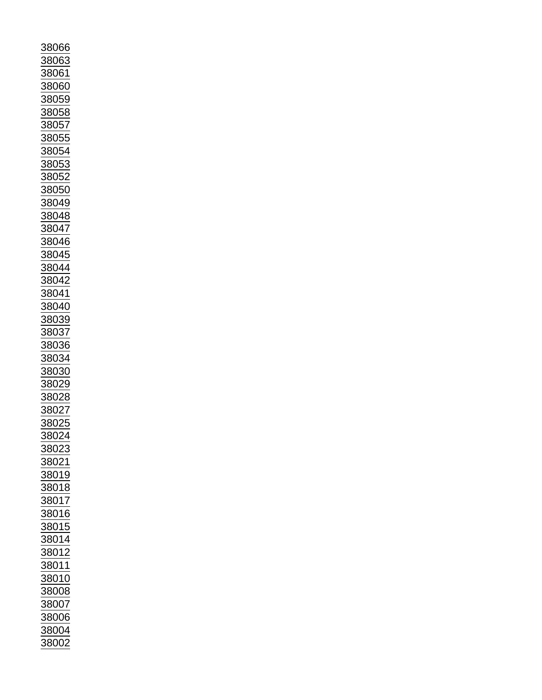| 88066             |
|-------------------|
|                   |
|                   |
|                   |
| 38063             |
|                   |
| 38061             |
|                   |
| 88060             |
|                   |
| 38059             |
|                   |
| 8058              |
|                   |
| 88057             |
|                   |
| 38055             |
|                   |
| 3805 <sup>,</sup> |
|                   |
| 3805              |
|                   |
| 3805              |
|                   |
| 805               |
|                   |
| <u>38049</u>      |
|                   |
| <u>38048</u>      |
|                   |
| 38047             |
|                   |
| 38046             |
|                   |
| 38045             |
|                   |
| 38044             |
|                   |
| 8042              |
|                   |
| 3804              |
|                   |
| 8040              |
|                   |
|                   |
| <u>38039</u>      |
|                   |
| 38037             |
| 38036             |
|                   |
| 38034             |
|                   |
|                   |
| 38030             |
|                   |
| <u>38029</u>      |
|                   |
|                   |
|                   |
| <u>38028</u>      |
|                   |
| $\frac{1}{88027}$ |
|                   |
| 38025             |
|                   |
| 8802              |
|                   |
| 38023             |
|                   |
| <u>38021</u>      |
|                   |
| 38019             |
|                   |
| 38018             |
|                   |
| 38017             |
|                   |
| <u>88016</u>      |
|                   |
| 38015             |
|                   |
| 38014             |
|                   |
| <u>38012</u>      |
|                   |
| 38011             |
|                   |
| 38010             |
|                   |
| 38008             |
|                   |
| 38007             |
|                   |
| 38006             |
|                   |
| 38004<br>38002    |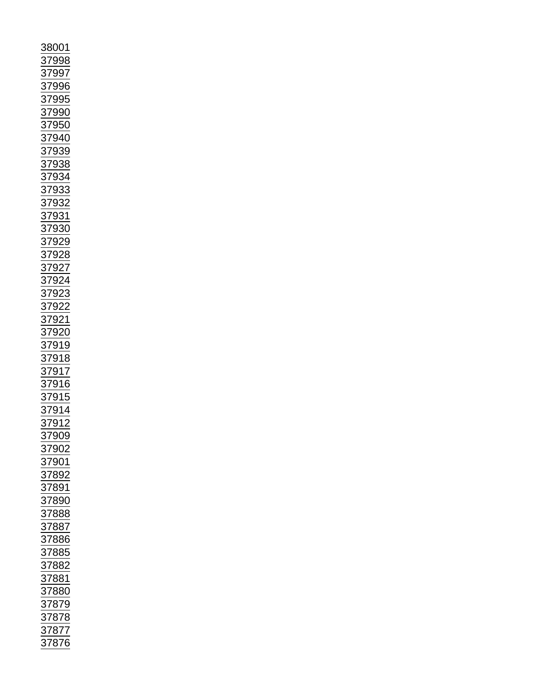| 8001                                                                                                                                                                                                        |
|-------------------------------------------------------------------------------------------------------------------------------------------------------------------------------------------------------------|
| <u>87998</u>                                                                                                                                                                                                |
|                                                                                                                                                                                                             |
|                                                                                                                                                                                                             |
|                                                                                                                                                                                                             |
|                                                                                                                                                                                                             |
|                                                                                                                                                                                                             |
|                                                                                                                                                                                                             |
|                                                                                                                                                                                                             |
|                                                                                                                                                                                                             |
|                                                                                                                                                                                                             |
|                                                                                                                                                                                                             |
|                                                                                                                                                                                                             |
|                                                                                                                                                                                                             |
|                                                                                                                                                                                                             |
|                                                                                                                                                                                                             |
|                                                                                                                                                                                                             |
|                                                                                                                                                                                                             |
|                                                                                                                                                                                                             |
|                                                                                                                                                                                                             |
|                                                                                                                                                                                                             |
|                                                                                                                                                                                                             |
|                                                                                                                                                                                                             |
|                                                                                                                                                                                                             |
|                                                                                                                                                                                                             |
|                                                                                                                                                                                                             |
|                                                                                                                                                                                                             |
|                                                                                                                                                                                                             |
| 37996<br>37996<br>37996<br>37996<br>37996<br>37938<br>37938<br>37933<br>37933<br>37933<br>37928<br>37922<br>37922<br>37922<br>37922<br>37922<br>37922<br>37922<br>37922<br>37922<br>37922<br>37922<br>37922 |
|                                                                                                                                                                                                             |
|                                                                                                                                                                                                             |
|                                                                                                                                                                                                             |
|                                                                                                                                                                                                             |
|                                                                                                                                                                                                             |
|                                                                                                                                                                                                             |
|                                                                                                                                                                                                             |
|                                                                                                                                                                                                             |
|                                                                                                                                                                                                             |
|                                                                                                                                                                                                             |
| $\frac{1}{2}$<br>$\frac{909}{ }$                                                                                                                                                                            |
|                                                                                                                                                                                                             |
| 37902<br>37901                                                                                                                                                                                              |
|                                                                                                                                                                                                             |
|                                                                                                                                                                                                             |
|                                                                                                                                                                                                             |
| 37901<br>37892<br>37891<br>37888<br>37888<br>37887<br>37886                                                                                                                                                 |
|                                                                                                                                                                                                             |
|                                                                                                                                                                                                             |
|                                                                                                                                                                                                             |
|                                                                                                                                                                                                             |
|                                                                                                                                                                                                             |
|                                                                                                                                                                                                             |
|                                                                                                                                                                                                             |
|                                                                                                                                                                                                             |
|                                                                                                                                                                                                             |
|                                                                                                                                                                                                             |
|                                                                                                                                                                                                             |
| <u>91999</u><br>37885<br>37882<br>37881<br>37879<br>37878<br>37877<br>37877                                                                                                                                 |
|                                                                                                                                                                                                             |
|                                                                                                                                                                                                             |
|                                                                                                                                                                                                             |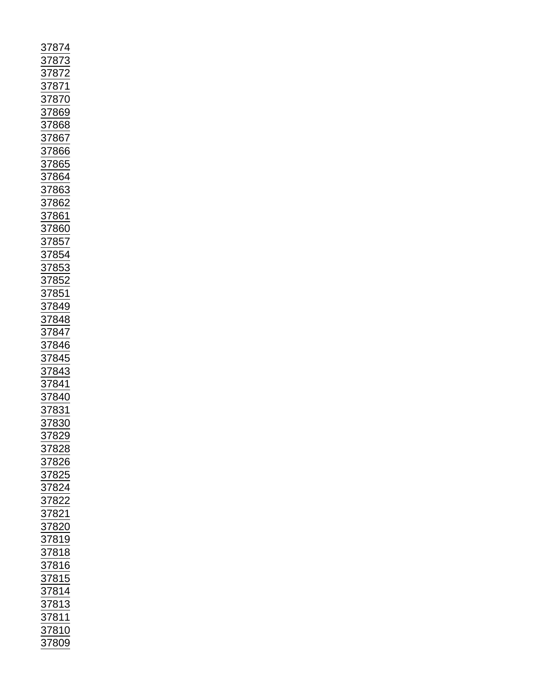| 3787<br>4                                                                                                                                                                                                                                                         |
|-------------------------------------------------------------------------------------------------------------------------------------------------------------------------------------------------------------------------------------------------------------------|
|                                                                                                                                                                                                                                                                   |
|                                                                                                                                                                                                                                                                   |
|                                                                                                                                                                                                                                                                   |
|                                                                                                                                                                                                                                                                   |
|                                                                                                                                                                                                                                                                   |
|                                                                                                                                                                                                                                                                   |
|                                                                                                                                                                                                                                                                   |
|                                                                                                                                                                                                                                                                   |
|                                                                                                                                                                                                                                                                   |
|                                                                                                                                                                                                                                                                   |
|                                                                                                                                                                                                                                                                   |
|                                                                                                                                                                                                                                                                   |
|                                                                                                                                                                                                                                                                   |
|                                                                                                                                                                                                                                                                   |
|                                                                                                                                                                                                                                                                   |
|                                                                                                                                                                                                                                                                   |
|                                                                                                                                                                                                                                                                   |
|                                                                                                                                                                                                                                                                   |
| 37873<br>37872<br>37872<br>37870<br>37868<br>37866<br>37866<br>37863<br>37863<br>37862<br>37852<br>37852<br>37852<br>37852<br>37852<br>37854<br>37844<br>37844<br>37844<br>37844<br>37854<br>37854<br>37854<br>37854<br>37854<br>37854<br>37854<br>37854<br>37854 |
|                                                                                                                                                                                                                                                                   |
|                                                                                                                                                                                                                                                                   |
|                                                                                                                                                                                                                                                                   |
|                                                                                                                                                                                                                                                                   |
|                                                                                                                                                                                                                                                                   |
|                                                                                                                                                                                                                                                                   |
|                                                                                                                                                                                                                                                                   |
|                                                                                                                                                                                                                                                                   |
|                                                                                                                                                                                                                                                                   |
|                                                                                                                                                                                                                                                                   |
|                                                                                                                                                                                                                                                                   |
|                                                                                                                                                                                                                                                                   |
|                                                                                                                                                                                                                                                                   |
|                                                                                                                                                                                                                                                                   |
|                                                                                                                                                                                                                                                                   |
|                                                                                                                                                                                                                                                                   |
|                                                                                                                                                                                                                                                                   |
|                                                                                                                                                                                                                                                                   |
|                                                                                                                                                                                                                                                                   |
|                                                                                                                                                                                                                                                                   |
|                                                                                                                                                                                                                                                                   |
|                                                                                                                                                                                                                                                                   |
|                                                                                                                                                                                                                                                                   |
| <u>37829</u>                                                                                                                                                                                                                                                      |
|                                                                                                                                                                                                                                                                   |
|                                                                                                                                                                                                                                                                   |
|                                                                                                                                                                                                                                                                   |
|                                                                                                                                                                                                                                                                   |
|                                                                                                                                                                                                                                                                   |
|                                                                                                                                                                                                                                                                   |
|                                                                                                                                                                                                                                                                   |
|                                                                                                                                                                                                                                                                   |
|                                                                                                                                                                                                                                                                   |
|                                                                                                                                                                                                                                                                   |
|                                                                                                                                                                                                                                                                   |
|                                                                                                                                                                                                                                                                   |
|                                                                                                                                                                                                                                                                   |
|                                                                                                                                                                                                                                                                   |
|                                                                                                                                                                                                                                                                   |
|                                                                                                                                                                                                                                                                   |
|                                                                                                                                                                                                                                                                   |
|                                                                                                                                                                                                                                                                   |
|                                                                                                                                                                                                                                                                   |
|                                                                                                                                                                                                                                                                   |
|                                                                                                                                                                                                                                                                   |
| 37828<br>37825<br>37825<br>37822<br>37822<br>37822<br>37820<br>37818<br>37815<br>37815<br>37813<br>37813<br>37813<br>37813                                                                                                                                        |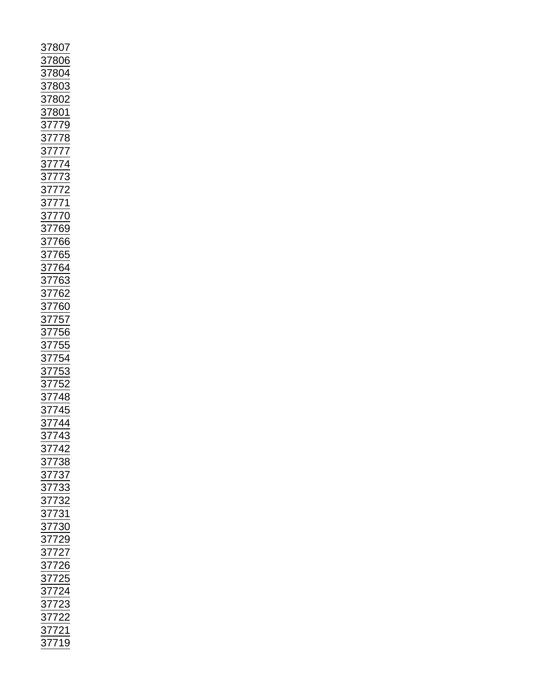| $\frac{37807}{378004} \underline{37803} \underline{37802} \underline{37802} \underline{37802} \underline{37802} \underline{37802} \underline{37802} \underline{37802} \underline{37802} \underline{377774} \underline{377772} \underline{377772} \underline{377772} \underline{3777769} \underline{3777666} \underline{377666} \underline{377662} \underline{377762} \underline{377762} \underline{377762} \underline{377755} \$ |
|----------------------------------------------------------------------------------------------------------------------------------------------------------------------------------------------------------------------------------------------------------------------------------------------------------------------------------------------------------------------------------------------------------------------------------|
|                                                                                                                                                                                                                                                                                                                                                                                                                                  |
|                                                                                                                                                                                                                                                                                                                                                                                                                                  |
|                                                                                                                                                                                                                                                                                                                                                                                                                                  |
|                                                                                                                                                                                                                                                                                                                                                                                                                                  |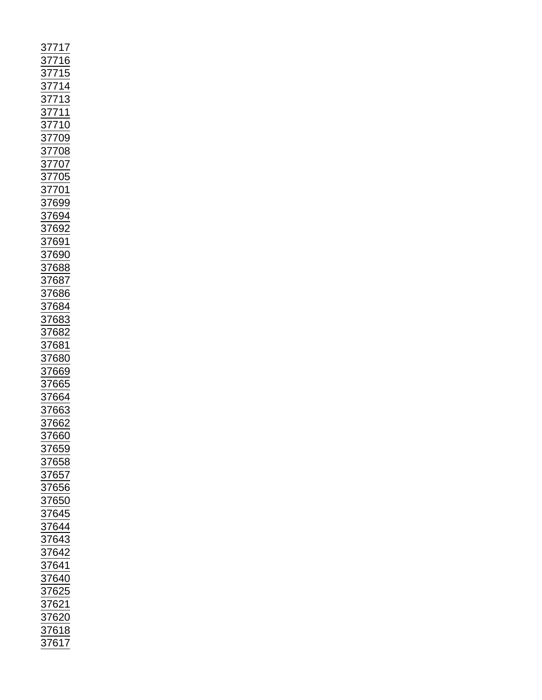|  | Ĩ | $\frac{17}{1}$                                                                                                                                                                                                                     |  |
|--|---|------------------------------------------------------------------------------------------------------------------------------------------------------------------------------------------------------------------------------------|--|
|  |   |                                                                                                                                                                                                                                    |  |
|  |   |                                                                                                                                                                                                                                    |  |
|  |   |                                                                                                                                                                                                                                    |  |
|  |   |                                                                                                                                                                                                                                    |  |
|  |   |                                                                                                                                                                                                                                    |  |
|  |   |                                                                                                                                                                                                                                    |  |
|  |   |                                                                                                                                                                                                                                    |  |
|  |   |                                                                                                                                                                                                                                    |  |
|  |   |                                                                                                                                                                                                                                    |  |
|  |   |                                                                                                                                                                                                                                    |  |
|  |   |                                                                                                                                                                                                                                    |  |
|  |   |                                                                                                                                                                                                                                    |  |
|  |   |                                                                                                                                                                                                                                    |  |
|  |   |                                                                                                                                                                                                                                    |  |
|  |   |                                                                                                                                                                                                                                    |  |
|  |   |                                                                                                                                                                                                                                    |  |
|  |   |                                                                                                                                                                                                                                    |  |
|  |   |                                                                                                                                                                                                                                    |  |
|  |   |                                                                                                                                                                                                                                    |  |
|  |   |                                                                                                                                                                                                                                    |  |
|  |   |                                                                                                                                                                                                                                    |  |
|  |   |                                                                                                                                                                                                                                    |  |
|  |   |                                                                                                                                                                                                                                    |  |
|  |   |                                                                                                                                                                                                                                    |  |
|  |   |                                                                                                                                                                                                                                    |  |
|  |   |                                                                                                                                                                                                                                    |  |
|  |   |                                                                                                                                                                                                                                    |  |
|  |   | 37716<br>37715<br>37715<br>37713 37710<br>37711 37710<br>37710 37705<br>37705<br>37705<br>376892<br>376883<br>376883<br>376883<br>376883<br>376883<br>376883<br>376883<br>376883<br>376883<br>376883<br>376883<br>376883<br>376883 |  |
|  |   |                                                                                                                                                                                                                                    |  |
|  |   |                                                                                                                                                                                                                                    |  |
|  |   |                                                                                                                                                                                                                                    |  |
|  |   |                                                                                                                                                                                                                                    |  |
|  |   |                                                                                                                                                                                                                                    |  |
|  |   |                                                                                                                                                                                                                                    |  |
|  |   |                                                                                                                                                                                                                                    |  |
|  |   |                                                                                                                                                                                                                                    |  |
|  |   |                                                                                                                                                                                                                                    |  |
|  |   |                                                                                                                                                                                                                                    |  |
|  |   |                                                                                                                                                                                                                                    |  |
|  |   |                                                                                                                                                                                                                                    |  |
|  |   |                                                                                                                                                                                                                                    |  |
|  |   |                                                                                                                                                                                                                                    |  |
|  |   |                                                                                                                                                                                                                                    |  |
|  |   |                                                                                                                                                                                                                                    |  |
|  |   | 37659<br>37658<br>37657<br>37656<br>37645<br>37644<br>37643<br>37642<br>37642<br>37625<br>37625<br>37621<br>37621<br>37621<br>37621<br>37621<br>37621<br>37621                                                                     |  |
|  |   |                                                                                                                                                                                                                                    |  |
|  |   |                                                                                                                                                                                                                                    |  |
|  |   |                                                                                                                                                                                                                                    |  |
|  |   |                                                                                                                                                                                                                                    |  |
|  |   |                                                                                                                                                                                                                                    |  |
|  |   |                                                                                                                                                                                                                                    |  |
|  |   |                                                                                                                                                                                                                                    |  |
|  |   |                                                                                                                                                                                                                                    |  |
|  |   |                                                                                                                                                                                                                                    |  |
|  |   |                                                                                                                                                                                                                                    |  |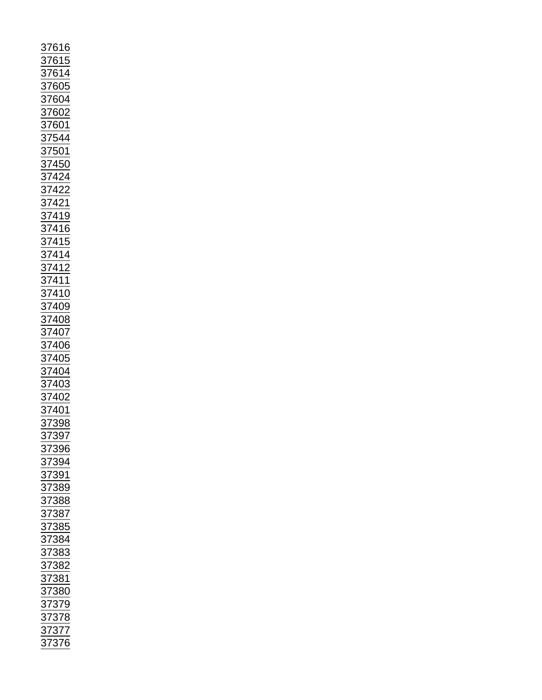| <u>37616</u>                                                                                                                        |
|-------------------------------------------------------------------------------------------------------------------------------------|
|                                                                                                                                     |
|                                                                                                                                     |
|                                                                                                                                     |
|                                                                                                                                     |
|                                                                                                                                     |
| $\frac{\frac{1}{37615}}{\frac{37614}{37605}}$                                                                                       |
| $\frac{1}{87602}$                                                                                                                   |
|                                                                                                                                     |
|                                                                                                                                     |
|                                                                                                                                     |
|                                                                                                                                     |
|                                                                                                                                     |
|                                                                                                                                     |
|                                                                                                                                     |
|                                                                                                                                     |
|                                                                                                                                     |
|                                                                                                                                     |
|                                                                                                                                     |
|                                                                                                                                     |
|                                                                                                                                     |
|                                                                                                                                     |
|                                                                                                                                     |
|                                                                                                                                     |
|                                                                                                                                     |
|                                                                                                                                     |
|                                                                                                                                     |
|                                                                                                                                     |
|                                                                                                                                     |
|                                                                                                                                     |
|                                                                                                                                     |
|                                                                                                                                     |
|                                                                                                                                     |
|                                                                                                                                     |
|                                                                                                                                     |
|                                                                                                                                     |
|                                                                                                                                     |
|                                                                                                                                     |
|                                                                                                                                     |
|                                                                                                                                     |
|                                                                                                                                     |
| 397                                                                                                                                 |
| $\frac{37}{2}$                                                                                                                      |
|                                                                                                                                     |
|                                                                                                                                     |
|                                                                                                                                     |
|                                                                                                                                     |
|                                                                                                                                     |
|                                                                                                                                     |
|                                                                                                                                     |
|                                                                                                                                     |
|                                                                                                                                     |
|                                                                                                                                     |
|                                                                                                                                     |
|                                                                                                                                     |
|                                                                                                                                     |
|                                                                                                                                     |
|                                                                                                                                     |
|                                                                                                                                     |
|                                                                                                                                     |
|                                                                                                                                     |
|                                                                                                                                     |
|                                                                                                                                     |
| 37396<br>37394<br>37391<br>37389<br>37388<br>37385<br>37382<br>37382<br>37382<br>37382<br>37382<br>37378<br>37377<br>37377<br>37377 |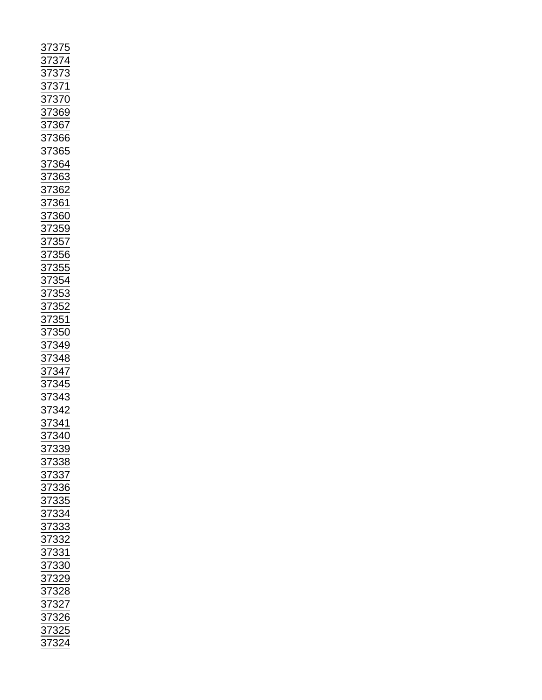| 37375<br>37374<br>3737371<br>3737370<br>3737369<br>37366<br>37366<br>37366<br>37362<br>37362<br>37355<br>37355<br>37355<br>37355<br>37355<br>37355<br>37355<br>37355<br>37355<br>37355<br>37355<br>37355<br>37355<br>37355<br>37355<br>37355<br>37355<br>37355<br>37355<br>37355<br>37355<br>37355 |  |
|----------------------------------------------------------------------------------------------------------------------------------------------------------------------------------------------------------------------------------------------------------------------------------------------------|--|
|                                                                                                                                                                                                                                                                                                    |  |
|                                                                                                                                                                                                                                                                                                    |  |
|                                                                                                                                                                                                                                                                                                    |  |
|                                                                                                                                                                                                                                                                                                    |  |
|                                                                                                                                                                                                                                                                                                    |  |
|                                                                                                                                                                                                                                                                                                    |  |
|                                                                                                                                                                                                                                                                                                    |  |
|                                                                                                                                                                                                                                                                                                    |  |
|                                                                                                                                                                                                                                                                                                    |  |
|                                                                                                                                                                                                                                                                                                    |  |
|                                                                                                                                                                                                                                                                                                    |  |
|                                                                                                                                                                                                                                                                                                    |  |
|                                                                                                                                                                                                                                                                                                    |  |
|                                                                                                                                                                                                                                                                                                    |  |
|                                                                                                                                                                                                                                                                                                    |  |
|                                                                                                                                                                                                                                                                                                    |  |
|                                                                                                                                                                                                                                                                                                    |  |
|                                                                                                                                                                                                                                                                                                    |  |
|                                                                                                                                                                                                                                                                                                    |  |
|                                                                                                                                                                                                                                                                                                    |  |
|                                                                                                                                                                                                                                                                                                    |  |
|                                                                                                                                                                                                                                                                                                    |  |
|                                                                                                                                                                                                                                                                                                    |  |
|                                                                                                                                                                                                                                                                                                    |  |
|                                                                                                                                                                                                                                                                                                    |  |
|                                                                                                                                                                                                                                                                                                    |  |
|                                                                                                                                                                                                                                                                                                    |  |
|                                                                                                                                                                                                                                                                                                    |  |
|                                                                                                                                                                                                                                                                                                    |  |
|                                                                                                                                                                                                                                                                                                    |  |
|                                                                                                                                                                                                                                                                                                    |  |
|                                                                                                                                                                                                                                                                                                    |  |
| 37340<br>37339<br>37338<br>37338<br>37335<br>37335<br>37333<br>37332<br>37332<br>37322<br>37322<br>37322<br>37322<br>37322<br>37322<br>37322                                                                                                                                                       |  |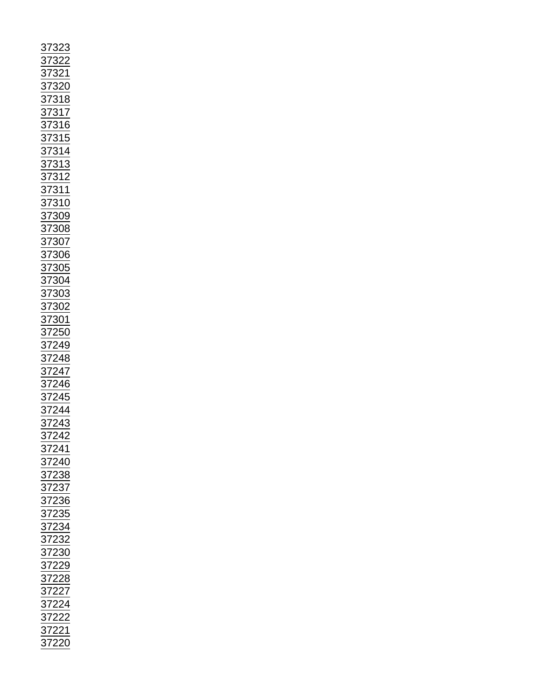| <u>323</u>     |  |
|----------------|--|
| $\frac{37}{2}$ |  |
|                |  |
|                |  |
|                |  |
|                |  |
|                |  |
|                |  |
|                |  |
|                |  |
|                |  |
|                |  |
|                |  |
|                |  |
|                |  |
|                |  |
|                |  |
|                |  |
|                |  |
|                |  |
|                |  |
|                |  |
|                |  |
|                |  |
|                |  |
|                |  |
|                |  |
|                |  |
|                |  |
|                |  |
|                |  |
|                |  |
|                |  |
|                |  |
|                |  |
|                |  |
|                |  |
|                |  |
|                |  |
|                |  |
|                |  |
|                |  |
|                |  |
|                |  |
|                |  |
|                |  |
|                |  |
|                |  |
|                |  |
|                |  |
|                |  |
|                |  |
|                |  |
|                |  |
|                |  |
|                |  |
|                |  |
|                |  |
|                |  |
|                |  |
|                |  |
|                |  |
|                |  |
|                |  |
|                |  |
|                |  |
|                |  |
|                |  |
|                |  |
|                |  |
|                |  |
|                |  |
|                |  |
|                |  |
|                |  |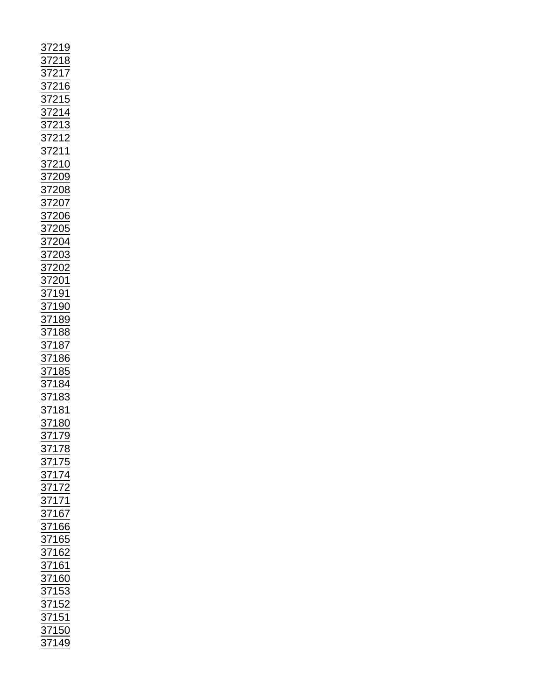|                                                                                                                                                                                                                                                          |                |               | <u> 19</u> |   |  |
|----------------------------------------------------------------------------------------------------------------------------------------------------------------------------------------------------------------------------------------------------------|----------------|---------------|------------|---|--|
|                                                                                                                                                                                                                                                          | $\frac{37}{7}$ |               |            |   |  |
|                                                                                                                                                                                                                                                          | $\frac{37}{2}$ |               | <u>1</u>   | ξ |  |
|                                                                                                                                                                                                                                                          |                |               |            |   |  |
|                                                                                                                                                                                                                                                          |                |               |            |   |  |
|                                                                                                                                                                                                                                                          |                |               |            |   |  |
|                                                                                                                                                                                                                                                          |                |               |            |   |  |
|                                                                                                                                                                                                                                                          |                |               |            |   |  |
|                                                                                                                                                                                                                                                          |                |               |            |   |  |
|                                                                                                                                                                                                                                                          |                |               |            |   |  |
|                                                                                                                                                                                                                                                          |                |               |            |   |  |
|                                                                                                                                                                                                                                                          |                |               |            |   |  |
|                                                                                                                                                                                                                                                          |                |               |            |   |  |
|                                                                                                                                                                                                                                                          |                |               |            |   |  |
|                                                                                                                                                                                                                                                          |                |               |            |   |  |
|                                                                                                                                                                                                                                                          |                |               |            |   |  |
|                                                                                                                                                                                                                                                          |                |               |            |   |  |
|                                                                                                                                                                                                                                                          |                |               |            |   |  |
|                                                                                                                                                                                                                                                          |                |               |            |   |  |
|                                                                                                                                                                                                                                                          |                |               |            |   |  |
|                                                                                                                                                                                                                                                          |                |               |            |   |  |
|                                                                                                                                                                                                                                                          |                |               |            |   |  |
|                                                                                                                                                                                                                                                          |                |               |            |   |  |
|                                                                                                                                                                                                                                                          |                |               |            |   |  |
|                                                                                                                                                                                                                                                          |                |               |            |   |  |
|                                                                                                                                                                                                                                                          |                |               |            |   |  |
|                                                                                                                                                                                                                                                          |                |               |            |   |  |
|                                                                                                                                                                                                                                                          |                |               |            |   |  |
|                                                                                                                                                                                                                                                          |                |               |            |   |  |
|                                                                                                                                                                                                                                                          |                |               |            |   |  |
|                                                                                                                                                                                                                                                          |                |               |            |   |  |
|                                                                                                                                                                                                                                                          |                |               |            |   |  |
|                                                                                                                                                                                                                                                          |                |               |            |   |  |
|                                                                                                                                                                                                                                                          |                |               |            |   |  |
|                                                                                                                                                                                                                                                          |                |               |            |   |  |
|                                                                                                                                                                                                                                                          |                |               |            |   |  |
|                                                                                                                                                                                                                                                          |                |               |            |   |  |
|                                                                                                                                                                                                                                                          |                |               |            |   |  |
|                                                                                                                                                                                                                                                          |                |               |            |   |  |
|                                                                                                                                                                                                                                                          |                |               |            |   |  |
|                                                                                                                                                                                                                                                          |                |               |            |   |  |
|                                                                                                                                                                                                                                                          |                |               |            |   |  |
|                                                                                                                                                                                                                                                          |                |               |            |   |  |
|                                                                                                                                                                                                                                                          |                |               |            |   |  |
|                                                                                                                                                                                                                                                          |                |               |            |   |  |
|                                                                                                                                                                                                                                                          |                |               |            |   |  |
|                                                                                                                                                                                                                                                          |                |               |            |   |  |
|                                                                                                                                                                                                                                                          |                |               |            |   |  |
|                                                                                                                                                                                                                                                          |                |               |            |   |  |
|                                                                                                                                                                                                                                                          |                |               |            |   |  |
|                                                                                                                                                                                                                                                          |                |               |            |   |  |
|                                                                                                                                                                                                                                                          |                |               |            |   |  |
|                                                                                                                                                                                                                                                          |                |               |            |   |  |
|                                                                                                                                                                                                                                                          |                |               |            |   |  |
|                                                                                                                                                                                                                                                          |                |               |            |   |  |
|                                                                                                                                                                                                                                                          |                |               |            |   |  |
|                                                                                                                                                                                                                                                          |                |               |            |   |  |
|                                                                                                                                                                                                                                                          |                |               |            |   |  |
|                                                                                                                                                                                                                                                          |                |               |            |   |  |
|                                                                                                                                                                                                                                                          |                |               |            |   |  |
|                                                                                                                                                                                                                                                          |                |               |            |   |  |
|                                                                                                                                                                                                                                                          |                |               |            |   |  |
| 37216<br>37216<br>37215<br>37214<br>37213<br>37212<br>37210<br>37200<br>37200<br>37200<br>37200<br>37200<br>37200<br>37200<br>37200<br>37200<br>37200<br>37200<br>37200<br>37200<br>37200<br>37200<br>37200<br>37200<br>37200<br>37201<br>37118<br>37118 |                |               |            |   |  |
|                                                                                                                                                                                                                                                          |                | $\frac{1}{2}$ |            |   |  |
|                                                                                                                                                                                                                                                          |                |               |            |   |  |
|                                                                                                                                                                                                                                                          |                |               |            |   |  |
|                                                                                                                                                                                                                                                          |                |               |            |   |  |
|                                                                                                                                                                                                                                                          |                |               |            |   |  |
|                                                                                                                                                                                                                                                          |                |               |            |   |  |
|                                                                                                                                                                                                                                                          |                |               |            |   |  |
|                                                                                                                                                                                                                                                          |                |               |            |   |  |
|                                                                                                                                                                                                                                                          |                |               |            |   |  |
|                                                                                                                                                                                                                                                          |                |               |            |   |  |
|                                                                                                                                                                                                                                                          |                |               |            |   |  |
|                                                                                                                                                                                                                                                          |                |               |            |   |  |
|                                                                                                                                                                                                                                                          |                |               |            |   |  |
|                                                                                                                                                                                                                                                          |                |               |            |   |  |
|                                                                                                                                                                                                                                                          |                |               |            |   |  |
|                                                                                                                                                                                                                                                          |                |               |            |   |  |
|                                                                                                                                                                                                                                                          |                |               |            |   |  |
|                                                                                                                                                                                                                                                          |                |               |            |   |  |
|                                                                                                                                                                                                                                                          |                |               |            |   |  |
|                                                                                                                                                                                                                                                          |                |               |            |   |  |
|                                                                                                                                                                                                                                                          |                |               |            |   |  |
|                                                                                                                                                                                                                                                          |                |               |            |   |  |
|                                                                                                                                                                                                                                                          |                |               |            |   |  |
|                                                                                                                                                                                                                                                          |                |               |            |   |  |
|                                                                                                                                                                                                                                                          |                |               |            |   |  |
|                                                                                                                                                                                                                                                          |                |               |            |   |  |
|                                                                                                                                                                                                                                                          |                |               |            |   |  |
|                                                                                                                                                                                                                                                          |                |               |            |   |  |
|                                                                                                                                                                                                                                                          |                |               |            |   |  |
|                                                                                                                                                                                                                                                          |                |               |            |   |  |
|                                                                                                                                                                                                                                                          |                |               |            |   |  |
| 37179<br>37175<br>37175<br>37174<br>37172<br>37167<br>37165<br>37162<br>37162<br>37162<br>37162<br>37153<br>37153<br>37153                                                                                                                               |                |               |            |   |  |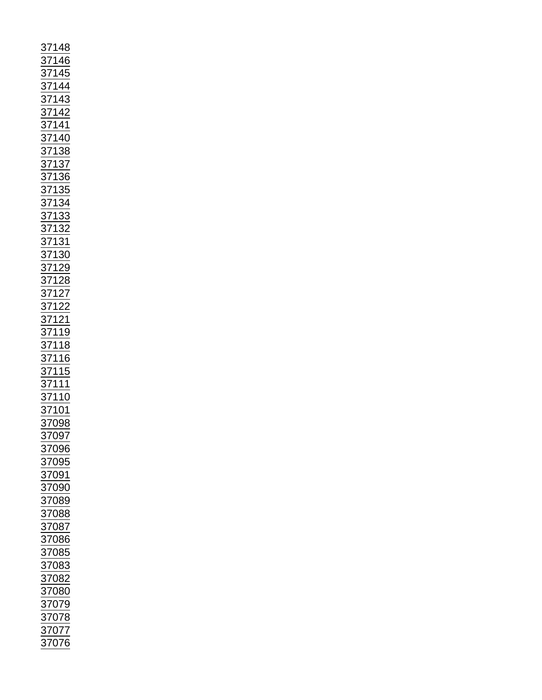| 37148<br>37145<br>371445<br>371442<br>371442<br>371442<br>371442<br>371440<br>37136<br>37136<br>37138<br>37132<br>37132<br>37132<br>37122<br>37122<br>37122<br>37122<br>37122<br>37122<br>37122<br>37122<br>37122<br>37122 |  |  |
|----------------------------------------------------------------------------------------------------------------------------------------------------------------------------------------------------------------------------|--|--|
|                                                                                                                                                                                                                            |  |  |
|                                                                                                                                                                                                                            |  |  |
| 37096<br>37095                                                                                                                                                                                                             |  |  |
|                                                                                                                                                                                                                            |  |  |
| $\frac{1}{37091}$                                                                                                                                                                                                          |  |  |
|                                                                                                                                                                                                                            |  |  |
| $\frac{1}{37090}$                                                                                                                                                                                                          |  |  |
|                                                                                                                                                                                                                            |  |  |
|                                                                                                                                                                                                                            |  |  |
|                                                                                                                                                                                                                            |  |  |
| 37089                                                                                                                                                                                                                      |  |  |
|                                                                                                                                                                                                                            |  |  |
|                                                                                                                                                                                                                            |  |  |
|                                                                                                                                                                                                                            |  |  |
|                                                                                                                                                                                                                            |  |  |
|                                                                                                                                                                                                                            |  |  |
|                                                                                                                                                                                                                            |  |  |
|                                                                                                                                                                                                                            |  |  |
|                                                                                                                                                                                                                            |  |  |
|                                                                                                                                                                                                                            |  |  |
|                                                                                                                                                                                                                            |  |  |
|                                                                                                                                                                                                                            |  |  |
| 37087<br>37086<br>37085<br>37083<br>37082<br>37080<br>37079                                                                                                                                                                |  |  |
|                                                                                                                                                                                                                            |  |  |
| $\frac{37078}{ }$                                                                                                                                                                                                          |  |  |
| 37077                                                                                                                                                                                                                      |  |  |
| 37076                                                                                                                                                                                                                      |  |  |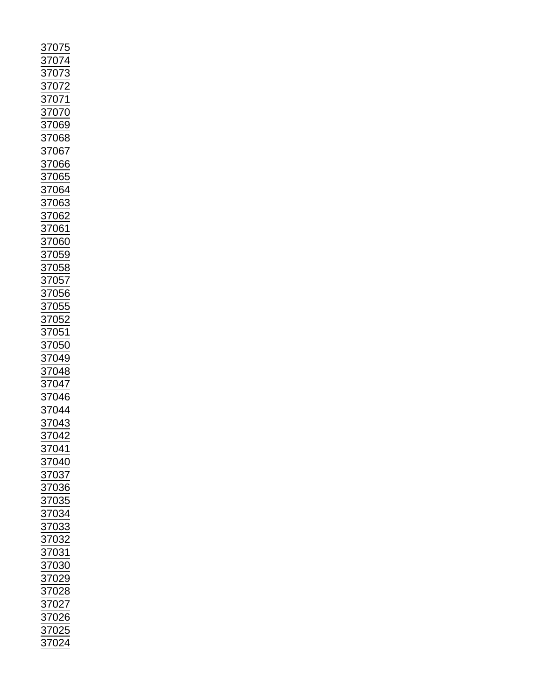| 07<br>37<br>5                                                                          |
|----------------------------------------------------------------------------------------|
|                                                                                        |
| $\overline{07}$<br>$\frac{37}{2}$                                                      |
|                                                                                        |
|                                                                                        |
| $\frac{37}{2}$                                                                         |
|                                                                                        |
| $\frac{37}{2}$                                                                         |
|                                                                                        |
| $\frac{37}{2}$                                                                         |
| 37069                                                                                  |
|                                                                                        |
| 37068                                                                                  |
|                                                                                        |
| $\frac{1}{27}$                                                                         |
| 37066                                                                                  |
|                                                                                        |
|                                                                                        |
|                                                                                        |
|                                                                                        |
|                                                                                        |
|                                                                                        |
|                                                                                        |
|                                                                                        |
| $\frac{1000}{37065}$ $\frac{37064}{37063}$ $\frac{37062}{37060}$ $\frac{37060}{37060}$ |
|                                                                                        |
|                                                                                        |
|                                                                                        |
| 37059<br>37058<br>37057<br>37057                                                       |
|                                                                                        |
|                                                                                        |
| 3705                                                                                   |
|                                                                                        |
| $\frac{37}{2}$                                                                         |
| $\frac{1}{\sqrt{0.055}}$<br>$\frac{1}{\sqrt{0.051}}$<br>$\frac{1}{2}$                  |
|                                                                                        |
| $\frac{37}{2}$                                                                         |
| $\overline{50}$<br>05                                                                  |
| $\frac{37}{2}$                                                                         |
|                                                                                        |
|                                                                                        |
|                                                                                        |
| 37049<br>37048<br>37047                                                                |
|                                                                                        |
| 6<br>$\frac{1}{2}$<br>$\overline{0}$                                                   |
| 4                                                                                      |
| $\overline{\mathbf{z}}$<br>$\overline{0}$                                              |
| 3<br>7043                                                                              |
|                                                                                        |
| 37042                                                                                  |
|                                                                                        |
|                                                                                        |
| 37041<br>37040                                                                         |
|                                                                                        |
|                                                                                        |
|                                                                                        |
|                                                                                        |
|                                                                                        |
| $\frac{37040}{37037}$ $\frac{37036}{7235}$                                             |
|                                                                                        |
|                                                                                        |
|                                                                                        |
|                                                                                        |
|                                                                                        |
|                                                                                        |
|                                                                                        |
|                                                                                        |
|                                                                                        |
|                                                                                        |
|                                                                                        |
|                                                                                        |
|                                                                                        |
|                                                                                        |
|                                                                                        |
|                                                                                        |
| 37035<br>37034<br>37033<br>37032<br>37031<br>37029<br>37028<br>37026<br>37025<br>37024 |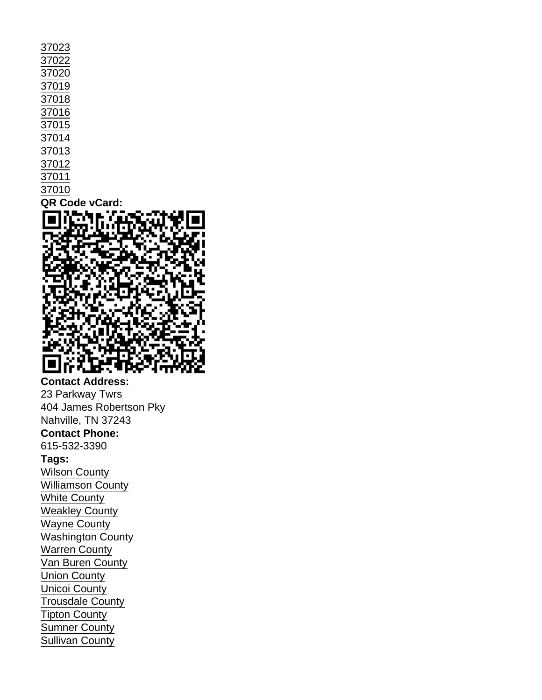| 37023          |
|----------------|
| 37022          |
| 37020          |
| 37019          |
| 37018          |
| 37016          |
| 37015          |
| 37014          |
| 37013          |
| 37012          |
| 37011          |
| 37010          |
| QR Code vCard: |

Contact Address: 23 Parkway Twrs 404 James Robertson Pky Nahville, TN 37243 Contact Phone: 615-532-3390 Tags: [Wilson County](https://www.tals.org/taxonomy/term/158) [Williamson County](https://www.tals.org/taxonomy/term/157) [White County](https://www.tals.org/taxonomy/term/156) [Weakley County](https://www.tals.org/taxonomy/term/155) [Wayne County](https://www.tals.org/taxonomy/term/154) [Washington County](https://www.tals.org/taxonomy/term/153) [Warren County](https://www.tals.org/taxonomy/term/152) [Van Buren County](https://www.tals.org/taxonomy/term/151) [Union County](https://www.tals.org/taxonomy/term/150) [Unicoi County](https://www.tals.org/taxonomy/term/149) [Trousdale County](https://www.tals.org/taxonomy/term/148) [Tipton County](https://www.tals.org/taxonomy/term/147) [Sumner County](https://www.tals.org/taxonomy/term/146) [Sullivan County](https://www.tals.org/taxonomy/term/145)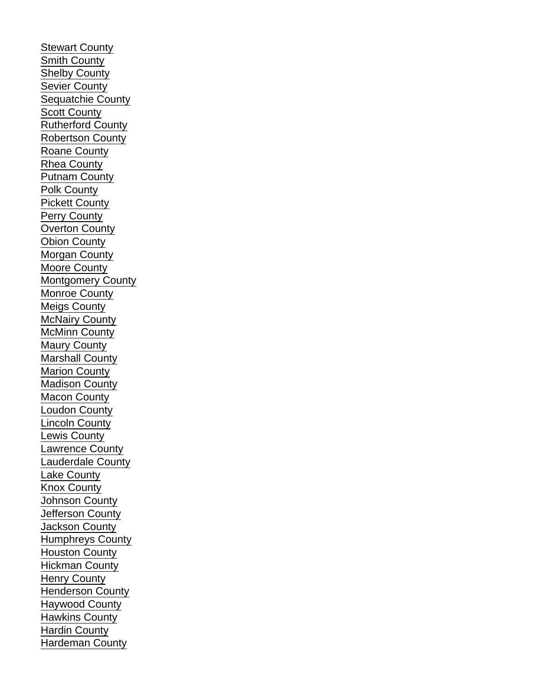[Stewart County](https://www.tals.org/taxonomy/term/144) [Smith County](https://www.tals.org/taxonomy/term/143) [Shelby County](https://www.tals.org/taxonomy/term/142) [Sevier County](https://www.tals.org/taxonomy/term/141) [Sequatchie County](https://www.tals.org/taxonomy/term/140) [Scott County](https://www.tals.org/taxonomy/term/139) [Rutherford County](https://www.tals.org/taxonomy/term/138) [Robertson County](https://www.tals.org/taxonomy/term/137) [Roane County](https://www.tals.org/taxonomy/term/136) [Rhea County](https://www.tals.org/taxonomy/term/135) [Putnam County](https://www.tals.org/taxonomy/term/134) [Polk County](https://www.tals.org/taxonomy/term/133) [Pickett County](https://www.tals.org/taxonomy/term/132) [Perry County](https://www.tals.org/taxonomy/term/131) [Overton County](https://www.tals.org/taxonomy/term/130) [Obion County](https://www.tals.org/taxonomy/term/129) [Morgan County](https://www.tals.org/taxonomy/term/128) [Moore County](https://www.tals.org/taxonomy/term/127) [Montgomery County](https://www.tals.org/taxonomy/term/126) [Monroe County](https://www.tals.org/taxonomy/term/125) [Meigs County](https://www.tals.org/taxonomy/term/124) [McNairy County](https://www.tals.org/taxonomy/term/123) [McMinn County](https://www.tals.org/taxonomy/term/122) [Maury County](https://www.tals.org/taxonomy/term/121) [Marshall County](https://www.tals.org/taxonomy/term/120) [Marion County](https://www.tals.org/taxonomy/term/119) [Madison County](https://www.tals.org/taxonomy/term/118) [Macon County](https://www.tals.org/taxonomy/term/117) [Loudon County](https://www.tals.org/taxonomy/term/116) [Lincoln County](https://www.tals.org/taxonomy/term/115) [Lewis County](https://www.tals.org/taxonomy/term/114) [Lawrence County](https://www.tals.org/taxonomy/term/113) [Lauderdale County](https://www.tals.org/taxonomy/term/112) [Lake County](https://www.tals.org/taxonomy/term/111) [Knox County](https://www.tals.org/taxonomy/term/110) [Johnson County](https://www.tals.org/taxonomy/term/109) [Jefferson County](https://www.tals.org/taxonomy/term/108) [Jackson County](https://www.tals.org/taxonomy/term/107) [Humphreys County](https://www.tals.org/taxonomy/term/106) [Houston County](https://www.tals.org/taxonomy/term/105) [Hickman County](https://www.tals.org/taxonomy/term/104) [Henry County](https://www.tals.org/taxonomy/term/103) [Henderson County](https://www.tals.org/taxonomy/term/102) [Haywood County](https://www.tals.org/taxonomy/term/101) [Hawkins County](https://www.tals.org/taxonomy/term/100) [Hardin County](https://www.tals.org/taxonomy/term/99) [Hardeman County](https://www.tals.org/taxonomy/term/98)